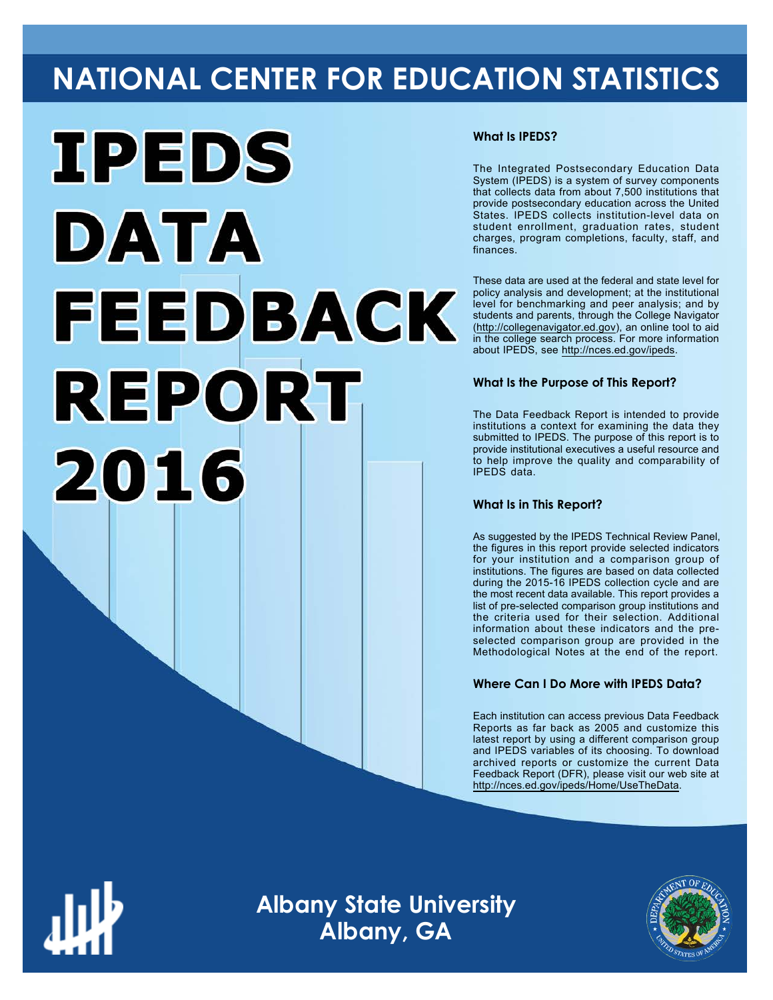# **NATIONAL CENTER FOR EDUCATION STATISTICS**



#### **What Is IPEDS?**

The Integrated Postsecondary Education Data System (IPEDS) is a system of survey components that collects data from about 7,500 institutions that provide postsecondary education across the United States. IPEDS collects institution-level data on student enrollment, graduation rates, student charges, program completions, faculty, staff, and finances.

These data are used at the federal and state level for policy analysis and development; at the institutional level for benchmarking and peer analysis; and by students and parents, through the College Navigator ([http://collegenavigator.ed.gov\)](http://collegenavigator.ed.gov), an online tool to aid in the college search process. For more information about IPEDS, see [http://nces.ed.gov/ipeds.](http://nces.ed.gov/ipeds)

#### **What Is the Purpose of This Report?**

The Data Feedback Report is intended to provide institutions a context for examining the data they submitted to IPEDS. The purpose of this report is to provide institutional executives a useful resource and to help improve the quality and comparability of IPEDS data.

#### **What Is in This Report?**

As suggested by the IPEDS Technical Review Panel, the figures in this report provide selected indicators for your institution and a comparison group of institutions. The figures are based on data collected during the 2015-16 IPEDS collection cycle and are the most recent data available. This report provides a list of pre-selected comparison group institutions and the criteria used for their selection. Additional information about these indicators and the preselected comparison group are provided in the Methodological Notes at the end of the report.

#### **Where Can I Do More with IPEDS Data?**

Each institution can access previous Data Feedback Reports as far back as 2005 and customize this latest report by using a different comparison group and IPEDS variables of its choosing. To download archived reports or customize the current Data Feedback Report (DFR), please visit our web site at [http://nces.ed.gov/ipeds/Home/UseTheData.](http://nces.ed.gov/ipeds/Home/UseTheData)



**Albany State University Albany, GA**

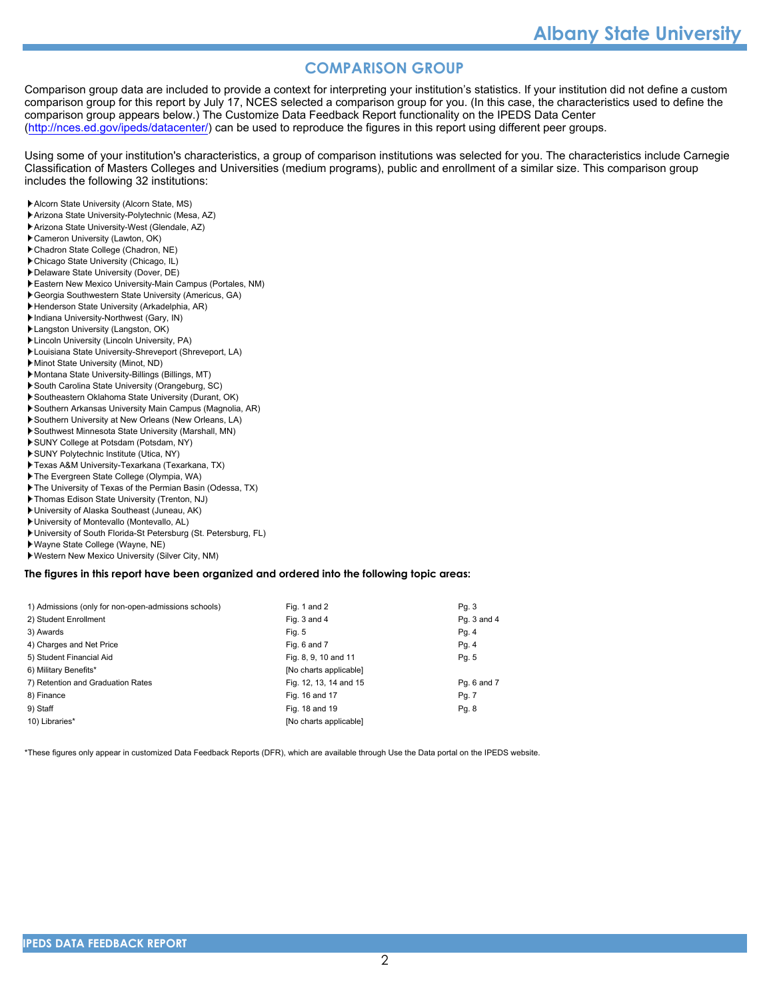#### **COMPARISON GROUP**

Comparison group data are included to provide a context for interpreting your institution's statistics. If your institution did not define a custom comparison group for this report by July 17, NCES selected a comparison group for you. (In this case, the characteristics used to define the comparison group appears below.) The Customize Data Feedback Report functionality on the IPEDS Data Center [\(http://nces.ed.gov/ipeds/datacenter/\)](http://nces.ed.gov/ipeds/datacenter/) can be used to reproduce the figures in this report using different peer groups.

Using some of your institution's characteristics, a group of comparison institutions was selected for you. The characteristics include Carnegie Classification of Masters Colleges and Universities (medium programs), public and enrollment of a similar size. This comparison group includes the following 32 institutions:

- Alcorn State University (Alcorn State, MS)
- Arizona State University-Polytechnic (Mesa, AZ)
- Arizona State University-West (Glendale, AZ)
- Cameron University (Lawton, OK)
- Chadron State College (Chadron, NE)
- Chicago State University (Chicago, IL)
- Delaware State University (Dover, DE)
- Eastern New Mexico University-Main Campus (Portales, NM)
- Georgia Southwestern State University (Americus, GA)
- Henderson State University (Arkadelphia, AR)
- **Indiana University-Northwest (Gary, IN)**
- Langston University (Langston, OK)
- Lincoln University (Lincoln University, PA)
- Louisiana State University-Shreveport (Shreveport, LA)
- Minot State University (Minot, ND)
- Montana State University-Billings (Billings, MT)
- South Carolina State University (Orangeburg, SC)
- Southeastern Oklahoma State University (Durant, OK)
- Southern Arkansas University Main Campus (Magnolia, AR) Southern University at New Orleans (New Orleans, LA)
- Southwest Minnesota State University (Marshall, MN)
- SUNY College at Potsdam (Potsdam, NY)
- SUNY Polytechnic Institute (Utica, NY)
- 
- Texas A&M University-Texarkana (Texarkana, TX) The Evergreen State College (Olympia, WA)
- The University of Texas of the Permian Basin (Odessa, TX)
- Thomas Edison State University (Trenton, NJ)
- University of Alaska Southeast (Juneau, AK)
- University of Montevallo (Montevallo, AL)
- University of South Florida-St Petersburg (St. Petersburg, FL)
- Wayne State College (Wayne, NE)
- Western New Mexico University (Silver City, NM)

#### **The figures in this report have been organized and ordered into the following topic areas:**

| 1) Admissions (only for non-open-admissions schools) | Fig. 1 and 2           | Pg. 3       |
|------------------------------------------------------|------------------------|-------------|
| 2) Student Enrollment                                | Fig. 3 and 4           | Pg. 3 and 4 |
| 3) Awards                                            | Fig. 5                 | Pg. 4       |
| 4) Charges and Net Price                             | Fig. 6 and 7           | Pg. 4       |
| 5) Student Financial Aid                             | Fig. 8, 9, 10 and 11   | Pg. 5       |
| 6) Military Benefits*                                | [No charts applicable] |             |
| 7) Retention and Graduation Rates                    | Fig. 12, 13, 14 and 15 | Pg. 6 and 7 |
| 8) Finance                                           | Fig. 16 and 17         | Pg. 7       |
| 9) Staff                                             | Fig. 18 and 19         | Pg. 8       |
| 10) Libraries*                                       | [No charts applicable] |             |

\*These figures only appear in customized Data Feedback Reports (DFR), which are available through Use the Data portal on the IPEDS website.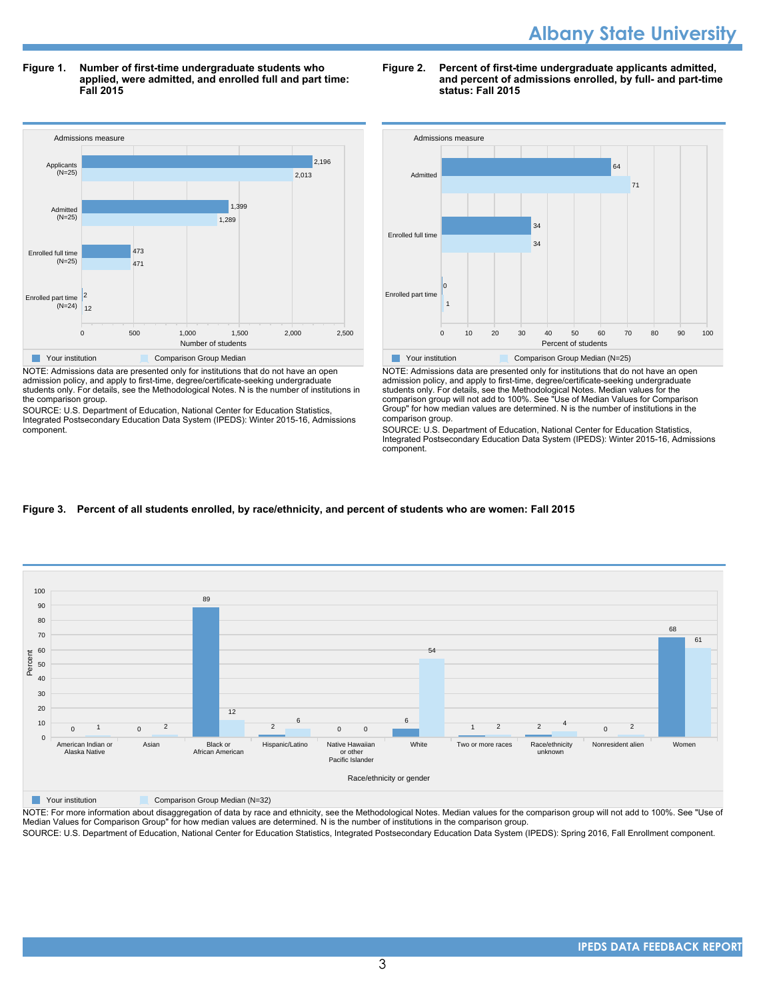**Figure 1. Number of first-time undergraduate students who applied, were admitted, and enrolled full and part time: Fall 2015**



NOTE: Admissions data are presented only for institutions that do not have an open admission policy, and apply to first-time, degree/certificate-seeking undergraduate students only. For details, see the Methodological Notes. N is the number of institutions in the comparison group.

SOURCE: U.S. Department of Education, National Center for Education Statistics, Integrated Postsecondary Education Data System (IPEDS): Winter 2015-16, Admissions component.

#### **Figure 2. Percent of first-time undergraduate applicants admitted, and percent of admissions enrolled, by full- and part-time status: Fall 2015**



NOTE: Admissions data are presented only for institutions that do not have an open admission policy, and apply to first-time, degree/certificate-seeking undergraduate students only. For details, see the Methodological Notes. Median values for the comparison group will not add to 100%. See "Use of Median Values for Comparison Group" for how median values are determined. N is the number of institutions in the comparison group.

SOURCE: U.S. Department of Education, National Center for Education Statistics, Integrated Postsecondary Education Data System (IPEDS): Winter 2015-16, Admissions component.

#### **Figure 3. Percent of all students enrolled, by race/ethnicity, and percent of students who are women: Fall 2015**



**The Your institution Comparison Group Median (N=32)** 

NOTE: For more information about disaggregation of data by race and ethnicity, see the Methodological Notes. Median values for the comparison group will not add to 100%. See "Use of Median Values for Comparison Group" for how median values are determined. N is the number of institutions in the comparison group.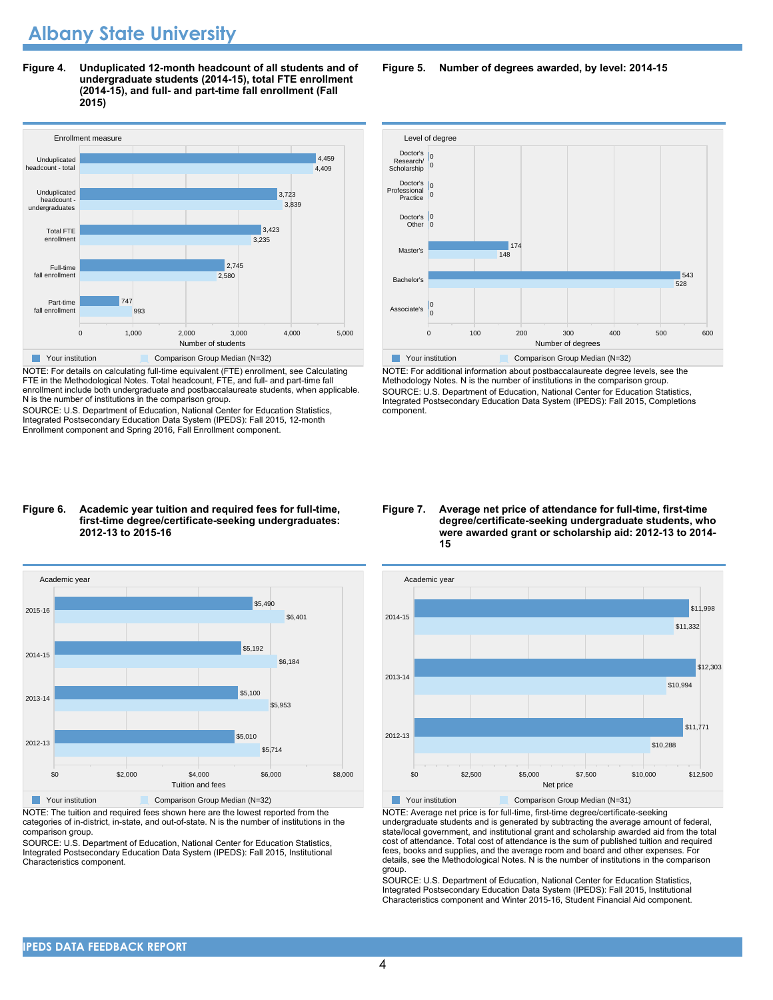**Figure 4. Unduplicated 12-month headcount of all students and of undergraduate students (2014-15), total FTE enrollment (2014-15), and full- and part-time fall enrollment (Fall 2015)**



NOTE: For details on calculating full-time equivalent (FTE) enrollment, see Calculating FTE in the Methodological Notes. Total headcount, FTE, and full- and part-time fall enrollment include both undergraduate and postbaccalaureate students, when applicable. N is the number of institutions in the comparison group.

SOURCE: U.S. Department of Education, National Center for Education Statistics, Integrated Postsecondary Education Data System (IPEDS): Fall 2015, 12-month Enrollment component and Spring 2016, Fall Enrollment component.

#### **Figure 6. Academic year tuition and required fees for full-time, first-time degree/certificate-seeking undergraduates: 2012-13 to 2015-16**



NOTE: The tuition and required fees shown here are the lowest reported from the categories of in-district, in-state, and out-of-state. N is the number of institutions in the comparison group.

SOURCE: U.S. Department of Education, National Center for Education Statistics, Integrated Postsecondary Education Data System (IPEDS): Fall 2015, Institutional Characteristics component.

**Figure 5. Number of degrees awarded, by level: 2014-15**



NOTE: For additional information about postbaccalaureate degree levels, see the Methodology Notes. N is the number of institutions in the comparison group. SOURCE: U.S. Department of Education, National Center for Education Statistics, Integrated Postsecondary Education Data System (IPEDS): Fall 2015, Completions component.

**Figure 7. Average net price of attendance for full-time, first-time degree/certificate-seeking undergraduate students, who were awarded grant or scholarship aid: 2012-13 to 2014- 15**



NOTE: Average net price is for full-time, first-time degree/certificate-seeking undergraduate students and is generated by subtracting the average amount of federal, state/local government, and institutional grant and scholarship awarded aid from the total cost of attendance. Total cost of attendance is the sum of published tuition and required fees, books and supplies, and the average room and board and other expenses. For details, see the Methodological Notes. N is the number of institutions in the comparison group.

SOURCE: U.S. Department of Education, National Center for Education Statistics, Integrated Postsecondary Education Data System (IPEDS): Fall 2015, Institutional Characteristics component and Winter 2015-16, Student Financial Aid component.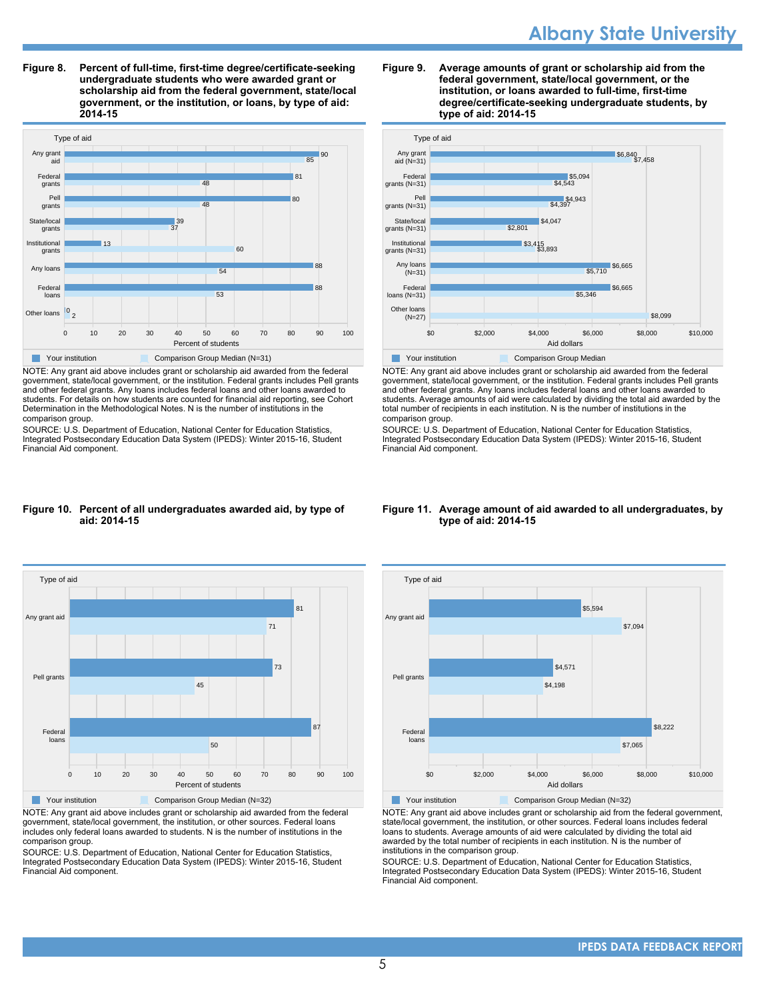**Figure 8. Percent of full-time, first-time degree/certificate-seeking undergraduate students who were awarded grant or scholarship aid from the federal government, state/local government, or the institution, or loans, by type of aid: 2014-15**



NOTE: Any grant aid above includes grant or scholarship aid awarded from the federal government, state/local government, or the institution. Federal grants includes Pell grants and other federal grants. Any loans includes federal loans and other loans awarded to students. For details on how students are counted for financial aid reporting, see Cohort Determination in the Methodological Notes. N is the number of institutions in the comparison group.

SOURCE: U.S. Department of Education, National Center for Education Statistics, Integrated Postsecondary Education Data System (IPEDS): Winter 2015-16, Student Financial Aid component.

#### **Figure 9. Average amounts of grant or scholarship aid from the federal government, state/local government, or the institution, or loans awarded to full-time, first-time degree/certificate-seeking undergraduate students, by type of aid: 2014-15**



NOTE: Any grant aid above includes grant or scholarship aid awarded from the federal government, state/local government, or the institution. Federal grants includes Pell grants and other federal grants. Any loans includes federal loans and other loans awarded to students. Average amounts of aid were calculated by dividing the total aid awarded by the total number of recipients in each institution. N is the number of institutions in the comparison group.

SOURCE: U.S. Department of Education, National Center for Education Statistics, Integrated Postsecondary Education Data System (IPEDS): Winter 2015-16, Student Financial Aid component.

#### **Figure 10. Percent of all undergraduates awarded aid, by type of aid: 2014-15**



NOTE: Any grant aid above includes grant or scholarship aid awarded from the federal government, state/local government, the institution, or other sources. Federal loans includes only federal loans awarded to students. N is the number of institutions in the comparison group.

SOURCE: U.S. Department of Education, National Center for Education Statistics, Integrated Postsecondary Education Data System (IPEDS): Winter 2015-16, Student Financial Aid component.

#### **Figure 11. Average amount of aid awarded to all undergraduates, by type of aid: 2014-15**



NOTE: Any grant aid above includes grant or scholarship aid from the federal government, state/local government, the institution, or other sources. Federal loans includes federal loans to students. Average amounts of aid were calculated by dividing the total aid awarded by the total number of recipients in each institution. N is the number of institutions in the comparison group.

SOURCE: U.S. Department of Education, National Center for Education Statistics, Integrated Postsecondary Education Data System (IPEDS): Winter 2015-16, Student Financial Aid component.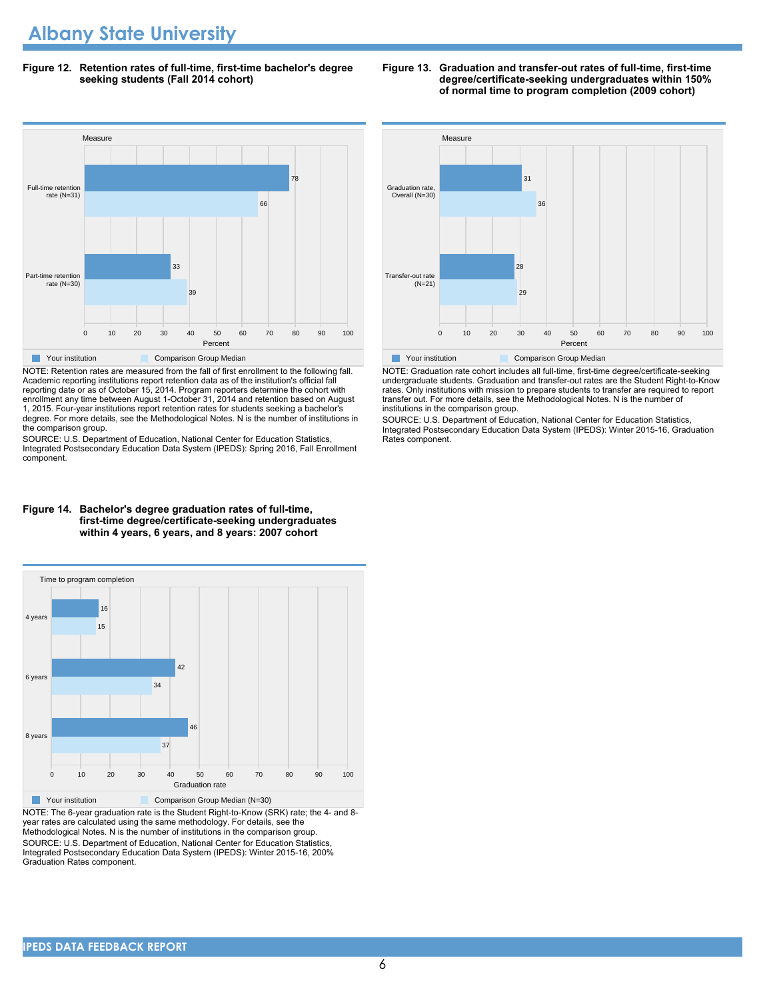**Figure 12. Retention rates of full-time, first-time bachelor's degree seeking students (Fall 2014 cohort)**



NOTE: Retention rates are measured from the fall of first enrollment to the following fall. Academic reporting institutions report retention data as of the institution's official fall reporting date or as of October 15, 2014. Program reporters determine the cohort with enrollment any time between August 1-October 31, 2014 and retention based on August 1, 2015. Four-year institutions report retention rates for students seeking a bachelor's degree. For more details, see the Methodological Notes. N is the number of institutions in the comparison group.

SOURCE: U.S. Department of Education, National Center for Education Statistics, Integrated Postsecondary Education Data System (IPEDS): Spring 2016, Fall Enrollment component.



**degree/certificate-seeking undergraduates within 150% of normal time to program completion (2009 cohort)**

**Figure 13. Graduation and transfer-out rates of full-time, first-time**

NOTE: Graduation rate cohort includes all full-time, first-time degree/certificate-seeking undergraduate students. Graduation and transfer-out rates are the Student Right-to-Know rates. Only institutions with mission to prepare students to transfer are required to report transfer out. For more details, see the Methodological Notes. N is the number of institutions in the comparison group.

SOURCE: U.S. Department of Education, National Center for Education Statistics, Integrated Postsecondary Education Data System (IPEDS): Winter 2015-16, Graduation Rates component.

#### **Figure 14. Bachelor's degree graduation rates of full-time, first-time degree/certificate-seeking undergraduates within 4 years, 6 years, and 8 years: 2007 cohort**



NOTE: The 6-year graduation rate is the Student Right-to-Know (SRK) rate; the 4- and 8 year rates are calculated using the same methodology. For details, see the Methodological Notes. N is the number of institutions in the comparison group. SOURCE: U.S. Department of Education, National Center for Education Statistics, Integrated Postsecondary Education Data System (IPEDS): Winter 2015-16, 200% Graduation Rates component.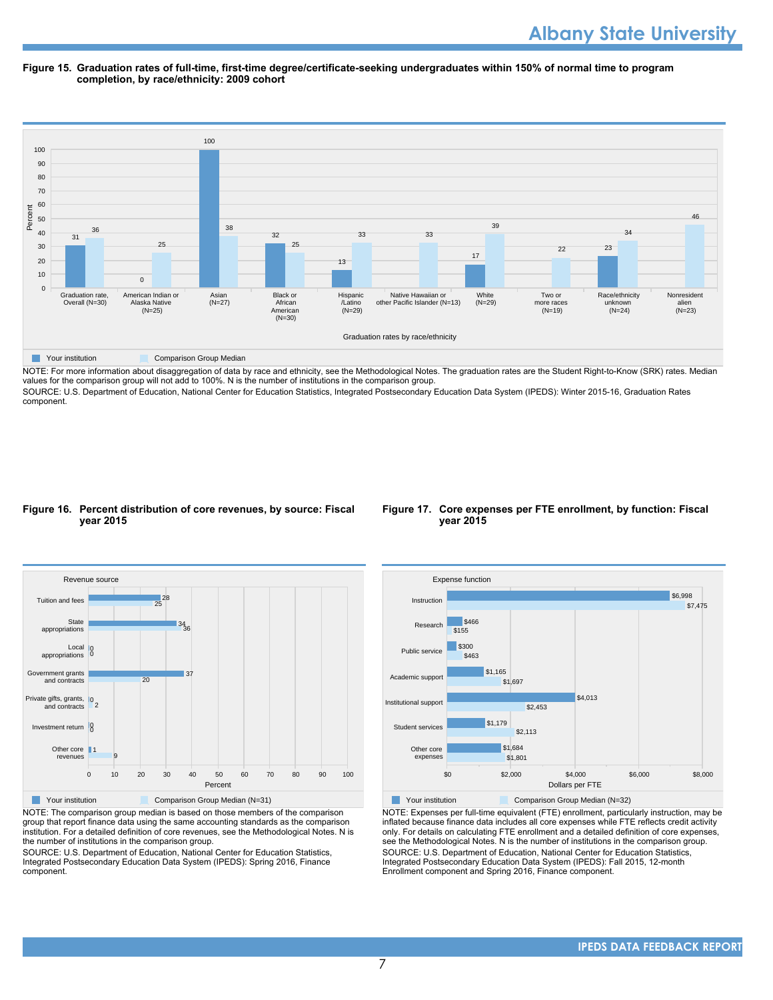#### **Figure 15. Graduation rates of full-time, first-time degree/certificate-seeking undergraduates within 150% of normal time to program completion, by race/ethnicity: 2009 cohort**



NOTE: For more information about disaggregation of data by race and ethnicity, see the Methodological Notes. The graduation rates are the Student Right-to-Know (SRK) rates. Median values for the comparison group will not add to 100%. N is the number of institutions in the comparison group.

SOURCE: U.S. Department of Education, National Center for Education Statistics, Integrated Postsecondary Education Data System (IPEDS): Winter 2015-16, Graduation Rates component.

#### **Figure 16. Percent distribution of core revenues, by source: Fiscal year 2015**





NOTE: The comparison group median is based on those members of the comparison group that report finance data using the same accounting standards as the comparison institution. For a detailed definition of core revenues, see the Methodological Notes. N is the number of institutions in the comparison group.

SOURCE: U.S. Department of Education, National Center for Education Statistics, Integrated Postsecondary Education Data System (IPEDS): Spring 2016, Finance component.



Your institution Comparison Group Median (N=32) NOTE: Expenses per full-time equivalent (FTE) enrollment, particularly instruction, may be inflated because finance data includes all core expenses while FTE reflects credit activity only. For details on calculating FTE enrollment and a detailed definition of core expenses, see the Methodological Notes. N is the number of institutions in the comparison group. SOURCE: U.S. Department of Education, National Center for Education Statistics, Integrated Postsecondary Education Data System (IPEDS): Fall 2015, 12-month Enrollment component and Spring 2016, Finance component.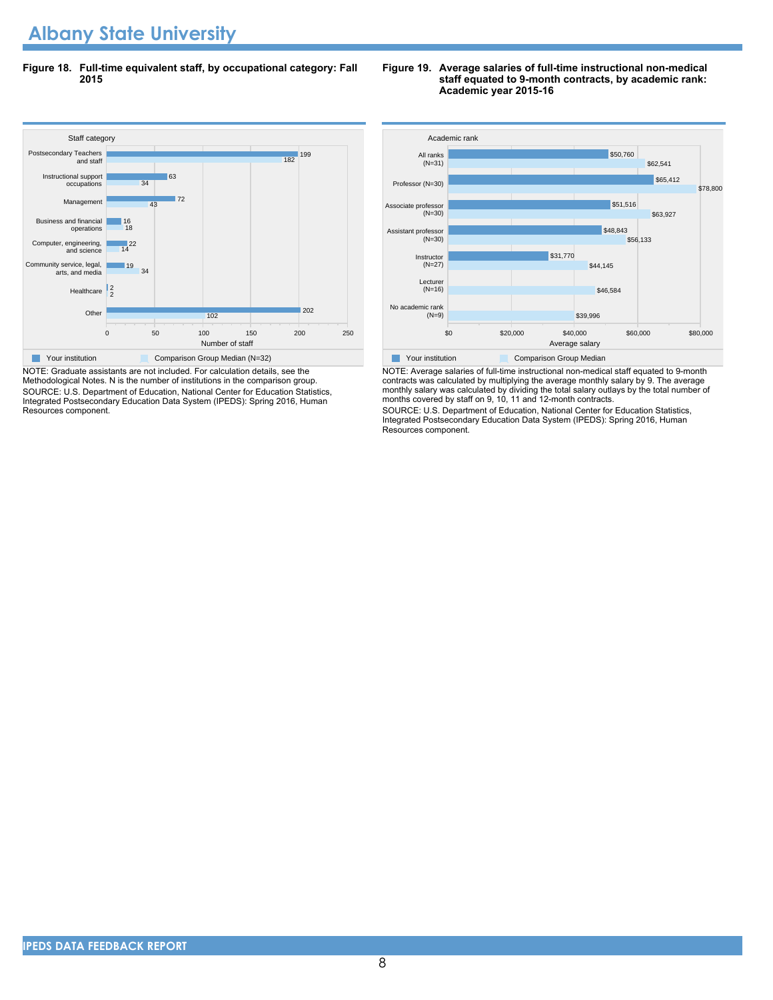**Figure 18. Full-time equivalent staff, by occupational category: Fall 2015**



NOTE: Graduate assistants are not included. For calculation details, see the Methodological Notes. N is the number of institutions in the comparison group. SOURCE: U.S. Department of Education, National Center for Education Statistics, Integrated Postsecondary Education Data System (IPEDS): Spring 2016, Human Resources component.

#### **Figure 19. Average salaries of full-time instructional non-medical staff equated to 9-month contracts, by academic rank: Academic year 2015-16**



NOTE: Average salaries of full-time instructional non-medical staff equated to 9-month contracts was calculated by multiplying the average monthly salary by 9. The average monthly salary was calculated by dividing the total salary outlays by the total number of months covered by staff on 9, 10, 11 and 12-month contracts.

SOURCE: U.S. Department of Education, National Center for Education Statistics, Integrated Postsecondary Education Data System (IPEDS): Spring 2016, Human Resources component.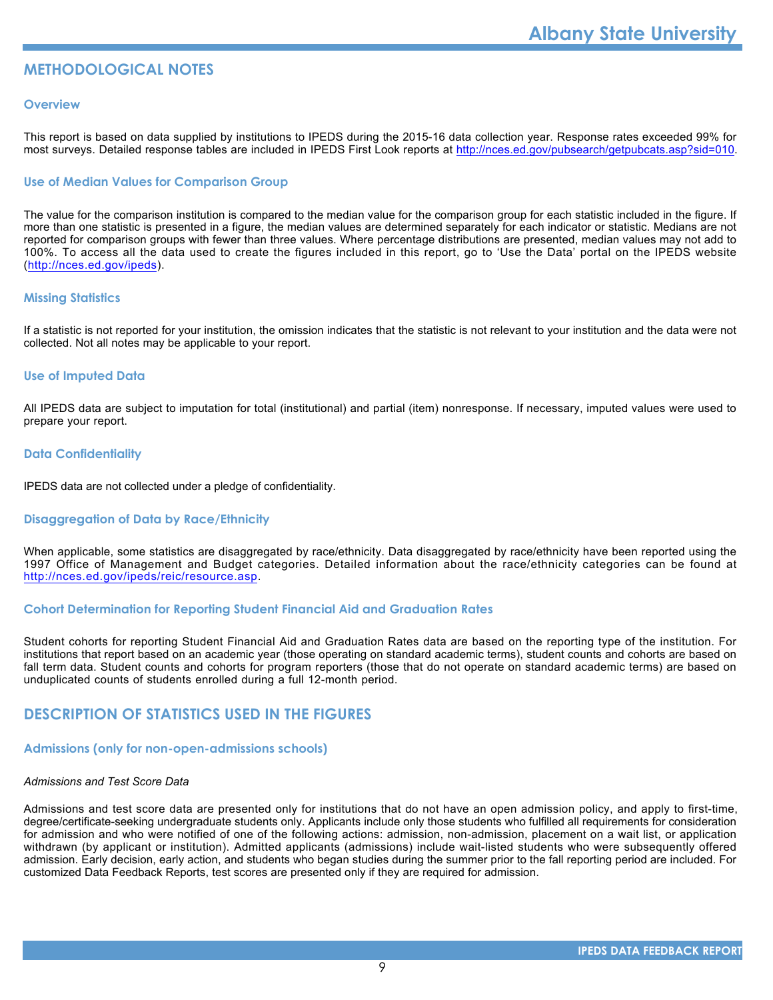### **METHODOLOGICAL NOTES**

#### **Overview**

This report is based on data supplied by institutions to IPEDS during the 2015-16 data collection year. Response rates exceeded 99% for most surveys. Detailed response tables are included in IPEDS First Look reports at [http://nces.ed.gov/pubsearch/getpubcats.asp?sid=010.](http://nces.ed.gov/pubsearch/getpubcats.asp?sid=010)

#### **Use of Median Values for Comparison Group**

The value for the comparison institution is compared to the median value for the comparison group for each statistic included in the figure. If more than one statistic is presented in a figure, the median values are determined separately for each indicator or statistic. Medians are not reported for comparison groups with fewer than three values. Where percentage distributions are presented, median values may not add to 100%. To access all the data used to create the figures included in this report, go to 'Use the Data' portal on the IPEDS website (<http://nces.ed.gov/ipeds>).

#### **Missing Statistics**

If a statistic is not reported for your institution, the omission indicates that the statistic is not relevant to your institution and the data were not collected. Not all notes may be applicable to your report.

#### **Use of Imputed Data**

All IPEDS data are subject to imputation for total (institutional) and partial (item) nonresponse. If necessary, imputed values were used to prepare your report.

#### **Data Confidentiality**

IPEDS data are not collected under a pledge of confidentiality.

#### **Disaggregation of Data by Race/Ethnicity**

When applicable, some statistics are disaggregated by race/ethnicity. Data disaggregated by race/ethnicity have been reported using the 1997 Office of Management and Budget categories. Detailed information about the race/ethnicity categories can be found at <http://nces.ed.gov/ipeds/reic/resource.asp>.

#### **Cohort Determination for Reporting Student Financial Aid and Graduation Rates**

Student cohorts for reporting Student Financial Aid and Graduation Rates data are based on the reporting type of the institution. For institutions that report based on an academic year (those operating on standard academic terms), student counts and cohorts are based on fall term data. Student counts and cohorts for program reporters (those that do not operate on standard academic terms) are based on unduplicated counts of students enrolled during a full 12-month period.

#### **DESCRIPTION OF STATISTICS USED IN THE FIGURES**

#### **Admissions (only for non-open-admissions schools)**

#### *Admissions and Test Score Data*

Admissions and test score data are presented only for institutions that do not have an open admission policy, and apply to first-time, degree/certificate-seeking undergraduate students only. Applicants include only those students who fulfilled all requirements for consideration for admission and who were notified of one of the following actions: admission, non-admission, placement on a wait list, or application withdrawn (by applicant or institution). Admitted applicants (admissions) include wait-listed students who were subsequently offered admission. Early decision, early action, and students who began studies during the summer prior to the fall reporting period are included. For customized Data Feedback Reports, test scores are presented only if they are required for admission.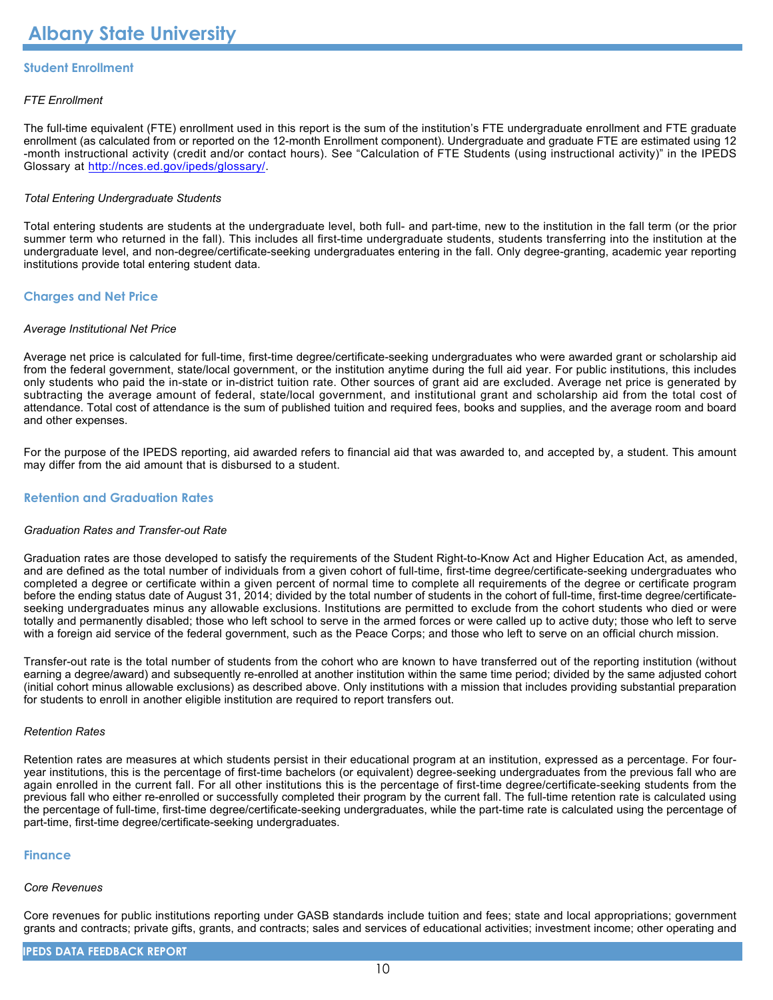#### **Student Enrollment**

#### *FTE Enrollment*

The full-time equivalent (FTE) enrollment used in this report is the sum of the institution's FTE undergraduate enrollment and FTE graduate enrollment (as calculated from or reported on the 12-month Enrollment component). Undergraduate and graduate FTE are estimated using 12 -month instructional activity (credit and/or contact hours). See "Calculation of FTE Students (using instructional activity)" in the IPEDS Glossary at <http://nces.ed.gov/ipeds/glossary/>.

#### *Total Entering Undergraduate Students*

Total entering students are students at the undergraduate level, both full- and part-time, new to the institution in the fall term (or the prior summer term who returned in the fall). This includes all first-time undergraduate students, students transferring into the institution at the undergraduate level, and non-degree/certificate-seeking undergraduates entering in the fall. Only degree-granting, academic year reporting institutions provide total entering student data.

#### **Charges and Net Price**

#### *Average Institutional Net Price*

Average net price is calculated for full-time, first-time degree/certificate-seeking undergraduates who were awarded grant or scholarship aid from the federal government, state/local government, or the institution anytime during the full aid year. For public institutions, this includes only students who paid the in-state or in-district tuition rate. Other sources of grant aid are excluded. Average net price is generated by subtracting the average amount of federal, state/local government, and institutional grant and scholarship aid from the total cost of attendance. Total cost of attendance is the sum of published tuition and required fees, books and supplies, and the average room and board and other expenses.

For the purpose of the IPEDS reporting, aid awarded refers to financial aid that was awarded to, and accepted by, a student. This amount may differ from the aid amount that is disbursed to a student.

#### **Retention and Graduation Rates**

#### *Graduation Rates and Transfer-out Rate*

Graduation rates are those developed to satisfy the requirements of the Student Right-to-Know Act and Higher Education Act, as amended, and are defined as the total number of individuals from a given cohort of full-time, first-time degree/certificate-seeking undergraduates who completed a degree or certificate within a given percent of normal time to complete all requirements of the degree or certificate program before the ending status date of August 31, 2014; divided by the total number of students in the cohort of full-time, first-time degree/certificateseeking undergraduates minus any allowable exclusions. Institutions are permitted to exclude from the cohort students who died or were totally and permanently disabled; those who left school to serve in the armed forces or were called up to active duty; those who left to serve with a foreign aid service of the federal government, such as the Peace Corps; and those who left to serve on an official church mission.

Transfer-out rate is the total number of students from the cohort who are known to have transferred out of the reporting institution (without earning a degree/award) and subsequently re-enrolled at another institution within the same time period; divided by the same adjusted cohort (initial cohort minus allowable exclusions) as described above. Only institutions with a mission that includes providing substantial preparation for students to enroll in another eligible institution are required to report transfers out.

#### *Retention Rates*

Retention rates are measures at which students persist in their educational program at an institution, expressed as a percentage. For fouryear institutions, this is the percentage of first-time bachelors (or equivalent) degree-seeking undergraduates from the previous fall who are again enrolled in the current fall. For all other institutions this is the percentage of first-time degree/certificate-seeking students from the previous fall who either re-enrolled or successfully completed their program by the current fall. The full-time retention rate is calculated using the percentage of full-time, first-time degree/certificate-seeking undergraduates, while the part-time rate is calculated using the percentage of part-time, first-time degree/certificate-seeking undergraduates.

#### **Finance**

#### *Core Revenues*

Core revenues for public institutions reporting under GASB standards include tuition and fees; state and local appropriations; government grants and contracts; private gifts, grants, and contracts; sales and services of educational activities; investment income; other operating and